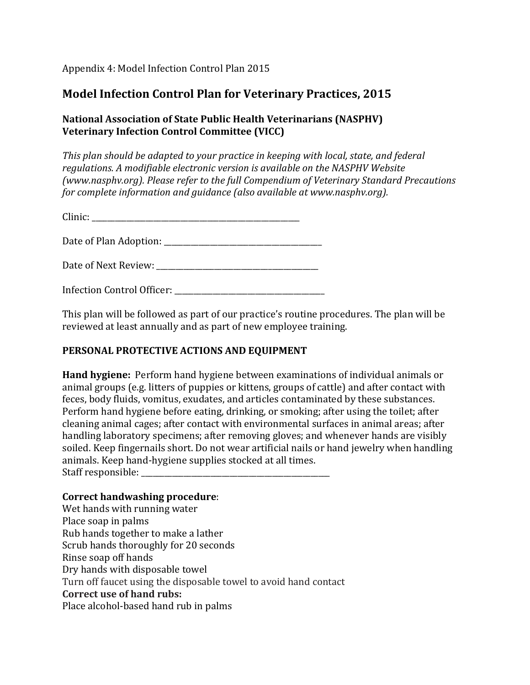Appendix 4: Model Infection Control Plan 2015

# **Model Infection Control Plan for Veterinary Practices, 2015**

## **National Association of State Public Health Veterinarians (NASPHV) Veterinary Infection Control Committee (VICC)**

*This plan should be adapted to your practice in keeping with local, state, and federal regulations. A modifiable electronic version is available on the NASPHV Website (www.nasphv.org). Please refer to the full Compendium of Veterinary Standard Precautions for complete information and guidance (also available at www.nasphv.org).*

Clinic: \_\_\_\_\_\_\_\_\_\_\_\_\_\_\_\_\_\_\_\_\_\_\_\_\_\_\_\_\_\_\_\_\_\_\_\_\_\_\_\_\_\_\_\_\_\_\_\_\_\_\_\_\_\_

Date of Plan Adoption:

Date of Next Review: \_\_\_\_\_\_\_\_\_\_\_\_\_\_\_\_\_\_\_\_\_\_\_\_\_\_\_\_\_\_\_\_\_\_\_\_\_\_\_\_\_\_

Infection Control Officer: \_\_\_\_\_\_\_\_\_\_\_\_\_\_\_\_\_\_\_\_\_\_\_\_\_\_\_\_\_\_\_\_\_\_\_\_\_\_\_

This plan will be followed as part of our practice's routine procedures. The plan will be reviewed at least annually and as part of new employee training.

## **PERSONAL PROTECTIVE ACTIONS AND EQUIPMENT**

**Hand hygiene:** Perform hand hygiene between examinations of individual animals or animal groups (e.g. litters of puppies or kittens, groups of cattle) and after contact with feces, body fluids, vomitus, exudates, and articles contaminated by these substances. Perform hand hygiene before eating, drinking, or smoking; after using the toilet; after cleaning animal cages; after contact with environmental surfaces in animal areas; after handling laboratory specimens; after removing gloves; and whenever hands are visibly soiled. Keep fingernails short. Do not wear artificial nails or hand jewelry when handling animals. Keep hand-hygiene supplies stocked at all times. Staff responsible:

### **Correct handwashing procedure**:

Wet hands with running water Place soap in palms Rub hands together to make a lather Scrub hands thoroughly for 20 seconds Rinse soap off hands Dry hands with disposable towel Turn off faucet using the disposable towel to avoid hand contact **Correct use of hand rubs:** Place alcohol-based hand rub in palms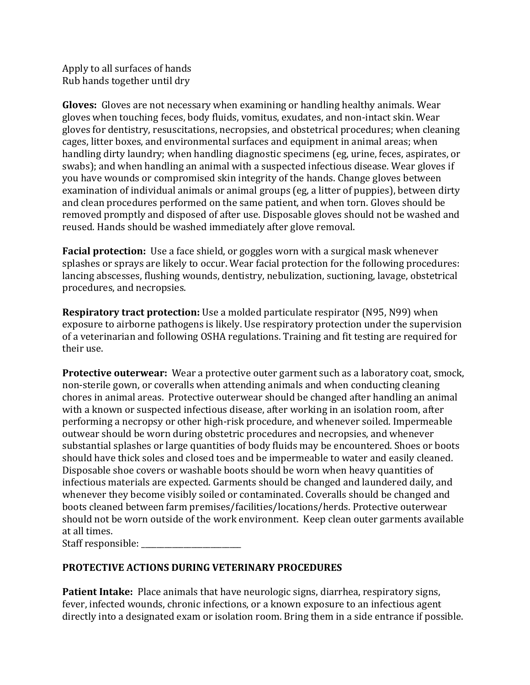Apply to all surfaces of hands Rub hands together until dry

**Gloves:** Gloves are not necessary when examining or handling healthy animals. Wear gloves when touching feces, body fluids, vomitus, exudates, and non-intact skin. Wear gloves for dentistry, resuscitations, necropsies, and obstetrical procedures; when cleaning cages, litter boxes, and environmental surfaces and equipment in animal areas; when handling dirty laundry; when handling diagnostic specimens (eg, urine, feces, aspirates, or swabs); and when handling an animal with a suspected infectious disease. Wear gloves if you have wounds or compromised skin integrity of the hands. Change gloves between examination of individual animals or animal groups (eg, a litter of puppies), between dirty and clean procedures performed on the same patient, and when torn. Gloves should be removed promptly and disposed of after use. Disposable gloves should not be washed and reused. Hands should be washed immediately after glove removal.

**Facial protection:** Use a face shield, or goggles worn with a surgical mask whenever splashes or sprays are likely to occur. Wear facial protection for the following procedures: lancing abscesses, flushing wounds, dentistry, nebulization, suctioning, lavage, obstetrical procedures, and necropsies.

**Respiratory tract protection:** Use a molded particulate respirator (N95, N99) when exposure to airborne pathogens is likely. Use respiratory protection under the supervision of a veterinarian and following OSHA regulations. Training and fit testing are required for their use.

**Protective outerwear:** Wear a protective outer garment such as a laboratory coat, smock, non-sterile gown, or coveralls when attending animals and when conducting cleaning chores in animal areas. Protective outerwear should be changed after handling an animal with a known or suspected infectious disease, after working in an isolation room, after performing a necropsy or other high-risk procedure, and whenever soiled. Impermeable outwear should be worn during obstetric procedures and necropsies, and whenever substantial splashes or large quantities of body fluids may be encountered. Shoes or boots should have thick soles and closed toes and be impermeable to water and easily cleaned. Disposable shoe covers or washable boots should be worn when heavy quantities of infectious materials are expected. Garments should be changed and laundered daily, and whenever they become visibly soiled or contaminated. Coveralls should be changed and boots cleaned between farm premises/facilities/locations/herds. Protective outerwear should not be worn outside of the work environment. Keep clean outer garments available at all times.

Staff responsible:

## **PROTECTIVE ACTIONS DURING VETERINARY PROCEDURES**

**Patient Intake:** Place animals that have neurologic signs, diarrhea, respiratory signs, fever, infected wounds, chronic infections, or a known exposure to an infectious agent directly into a designated exam or isolation room. Bring them in a side entrance if possible.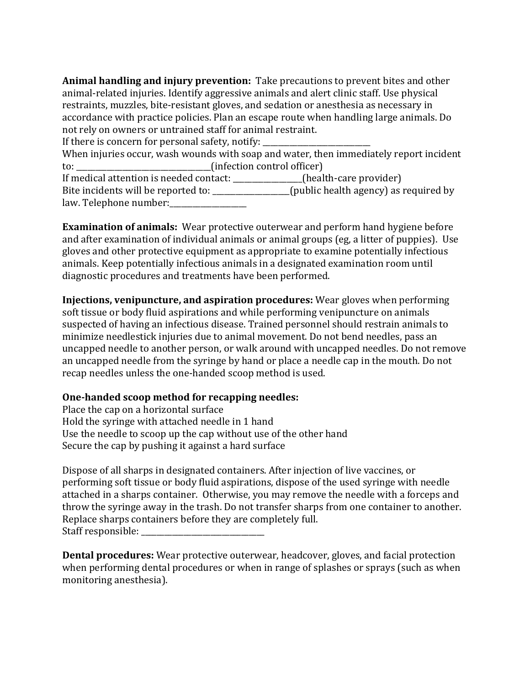**Animal handling and injury prevention:** Take precautions to prevent bites and other animal-related injuries. Identify aggressive animals and alert clinic staff. Use physical restraints, muzzles, bite-resistant gloves, and sedation or anesthesia as necessary in accordance with practice policies. Plan an escape route when handling large animals. Do not rely on owners or untrained staff for animal restraint. If there is concern for personal safety, notify:

When injuries occur, wash wounds with soap and water, then immediately report incident to:  $\qquad \qquad$   $\qquad \qquad$   $\qquad \qquad$   $\qquad \qquad$   $\qquad$   $\qquad \qquad$   $\qquad$   $\qquad$   $\qquad$   $\qquad$   $\qquad$   $\qquad$   $\qquad$   $\qquad$   $\qquad$   $\qquad$   $\qquad$   $\qquad$   $\qquad$   $\qquad$   $\qquad$   $\qquad$   $\qquad$   $\qquad$   $\qquad$   $\qquad$   $\qquad$   $\qquad$   $\qquad$   $\qquad$   $\qquad$   $\qquad$   $\qquad$   $\qquad$ If medical attention is needed contact: \_\_\_\_\_\_\_\_\_\_\_\_\_\_\_\_\_\_(health-care provider) Bite incidents will be reported to: \_\_\_\_\_\_\_\_\_\_\_\_\_\_\_\_(public health agency) as required by law. Telephone number:

**Examination of animals:** Wear protective outerwear and perform hand hygiene before and after examination of individual animals or animal groups (eg, a litter of puppies). Use gloves and other protective equipment as appropriate to examine potentially infectious animals. Keep potentially infectious animals in a designated examination room until diagnostic procedures and treatments have been performed.

**Injections, venipuncture, and aspiration procedures:** Wear gloves when performing soft tissue or body fluid aspirations and while performing venipuncture on animals suspected of having an infectious disease. Trained personnel should restrain animals to minimize needlestick injuries due to animal movement. Do not bend needles, pass an uncapped needle to another person, or walk around with uncapped needles. Do not remove an uncapped needle from the syringe by hand or place a needle cap in the mouth. Do not recap needles unless the one-handed scoop method is used.

## **One-handed scoop method for recapping needles:**

Place the cap on a horizontal surface Hold the syringe with attached needle in 1 hand Use the needle to scoop up the cap without use of the other hand Secure the cap by pushing it against a hard surface

Dispose of all sharps in designated containers. After injection of live vaccines, or performing soft tissue or body fluid aspirations, dispose of the used syringe with needle attached in a sharps container. Otherwise, you may remove the needle with a forceps and throw the syringe away in the trash. Do not transfer sharps from one container to another. Replace sharps containers before they are completely full. Staff responsible:

**Dental procedures:** Wear protective outerwear, headcover, gloves, and facial protection when performing dental procedures or when in range of splashes or sprays (such as when monitoring anesthesia).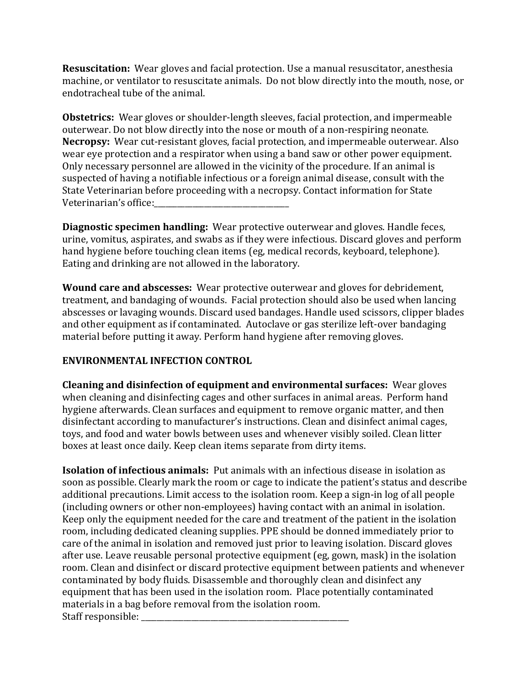**Resuscitation:** Wear gloves and facial protection. Use a manual resuscitator, anesthesia machine, or ventilator to resuscitate animals. Do not blow directly into the mouth, nose, or endotracheal tube of the animal.

**Obstetrics:** Wear gloves or shoulder-length sleeves, facial protection, and impermeable outerwear. Do not blow directly into the nose or mouth of a non-respiring neonate. **Necropsy:** Wear cut-resistant gloves, facial protection, and impermeable outerwear. Also wear eye protection and a respirator when using a band saw or other power equipment. Only necessary personnel are allowed in the vicinity of the procedure. If an animal is suspected of having a notifiable infectious or a foreign animal disease, consult with the State Veterinarian before proceeding with a necropsy. Contact information for State Veterinarian's office:

**Diagnostic specimen handling:** Wear protective outerwear and gloves. Handle feces, urine, vomitus, aspirates, and swabs as if they were infectious. Discard gloves and perform hand hygiene before touching clean items (eg, medical records, keyboard, telephone). Eating and drinking are not allowed in the laboratory.

**Wound care and abscesses:** Wear protective outerwear and gloves for debridement, treatment, and bandaging of wounds. Facial protection should also be used when lancing abscesses or lavaging wounds. Discard used bandages. Handle used scissors, clipper blades and other equipment as if contaminated. Autoclave or gas sterilize left-over bandaging material before putting it away. Perform hand hygiene after removing gloves.

## **ENVIRONMENTAL INFECTION CONTROL**

**Cleaning and disinfection of equipment and environmental surfaces:** Wear gloves when cleaning and disinfecting cages and other surfaces in animal areas. Perform hand hygiene afterwards. Clean surfaces and equipment to remove organic matter, and then disinfectant according to manufacturer's instructions. Clean and disinfect animal cages, toys, and food and water bowls between uses and whenever visibly soiled. Clean litter boxes at least once daily. Keep clean items separate from dirty items.

**Isolation of infectious animals:** Put animals with an infectious disease in isolation as soon as possible. Clearly mark the room or cage to indicate the patient's status and describe additional precautions. Limit access to the isolation room. Keep a sign-in log of all people (including owners or other non-employees) having contact with an animal in isolation. Keep only the equipment needed for the care and treatment of the patient in the isolation room, including dedicated cleaning supplies. PPE should be donned immediately prior to care of the animal in isolation and removed just prior to leaving isolation. Discard gloves after use. Leave reusable personal protective equipment (eg, gown, mask) in the isolation room. Clean and disinfect or discard protective equipment between patients and whenever contaminated by body fluids. Disassemble and thoroughly clean and disinfect any equipment that has been used in the isolation room. Place potentially contaminated materials in a bag before removal from the isolation room. Staff responsible: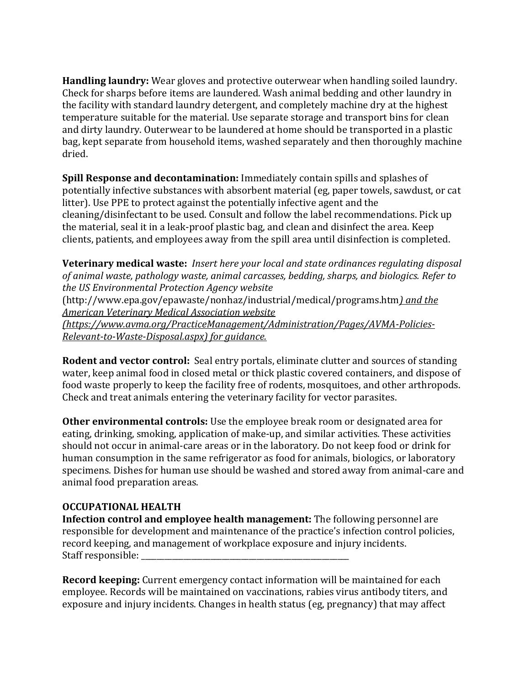**Handling laundry:** Wear gloves and protective outerwear when handling soiled laundry. Check for sharps before items are laundered. Wash animal bedding and other laundry in the facility with standard laundry detergent, and completely machine dry at the highest temperature suitable for the material. Use separate storage and transport bins for clean and dirty laundry. Outerwear to be laundered at home should be transported in a plastic bag, kept separate from household items, washed separately and then thoroughly machine dried.

**Spill Response and decontamination:** Immediately contain spills and splashes of potentially infective substances with absorbent material (eg, paper towels, sawdust, or cat litter). Use PPE to protect against the potentially infective agent and the cleaning/disinfectant to be used. Consult and follow the label recommendations. Pick up the material, seal it in a leak-proof plastic bag, and clean and disinfect the area. Keep clients, patients, and employees away from the spill area until disinfection is completed.

**Veterinary medical waste:** *Insert here your local and state ordinances regulating disposal of animal waste, pathology waste, animal carcasses, bedding, sharps, and biologics. Refer to the US Environmental Protection Agency website* (http://www.epa.gov/epawaste/nonhaz/industrial/medical/programs.htm*) and the American Veterinary Medical Association website (https://www.avma.org/PracticeManagement/Administration/Pages/AVMA-Policies-Relevant-to-Waste-Disposal.aspx) for guidance.*

**Rodent and vector control:** Seal entry portals, eliminate clutter and sources of standing water, keep animal food in closed metal or thick plastic covered containers, and dispose of food waste properly to keep the facility free of rodents, mosquitoes, and other arthropods. Check and treat animals entering the veterinary facility for vector parasites.

**Other environmental controls:** Use the employee break room or designated area for eating, drinking, smoking, application of make-up, and similar activities. These activities should not occur in animal-care areas or in the laboratory. Do not keep food or drink for human consumption in the same refrigerator as food for animals, biologics, or laboratory specimens. Dishes for human use should be washed and stored away from animal-care and animal food preparation areas.

### **OCCUPATIONAL HEALTH**

**Infection control and employee health management:** The following personnel are responsible for development and maintenance of the practice's infection control policies, record keeping, and management of workplace exposure and injury incidents. Staff responsible:

**Record keeping:** Current emergency contact information will be maintained for each employee. Records will be maintained on vaccinations, rabies virus antibody titers, and exposure and injury incidents. Changes in health status (eg, pregnancy) that may affect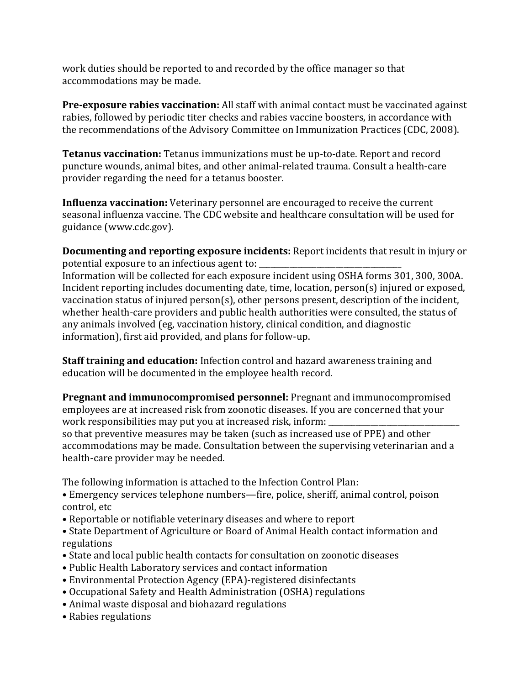work duties should be reported to and recorded by the office manager so that accommodations may be made.

**Pre-exposure rabies vaccination:** All staff with animal contact must be vaccinated against rabies, followed by periodic titer checks and rabies vaccine boosters, in accordance with the recommendations of the Advisory Committee on Immunization Practices (CDC, 2008).

**Tetanus vaccination:** Tetanus immunizations must be up-to-date. Report and record puncture wounds, animal bites, and other animal-related trauma. Consult a health-care provider regarding the need for a tetanus booster.

**Influenza vaccination:** Veterinary personnel are encouraged to receive the current seasonal influenza vaccine. The CDC website and healthcare consultation will be used for guidance (www.cdc.gov).

**Documenting and reporting exposure incidents:** Report incidents that result in injury or potential exposure to an infectious agent to:

Information will be collected for each exposure incident using OSHA forms 301, 300, 300A. Incident reporting includes documenting date, time, location, person(s) injured or exposed, vaccination status of injured person(s), other persons present, description of the incident, whether health-care providers and public health authorities were consulted, the status of any animals involved (eg, vaccination history, clinical condition, and diagnostic information), first aid provided, and plans for follow-up.

**Staff training and education:** Infection control and hazard awareness training and education will be documented in the employee health record.

**Pregnant and immunocompromised personnel:** Pregnant and immunocompromised employees are at increased risk from zoonotic diseases. If you are concerned that your work responsibilities may put you at increased risk, inform:

so that preventive measures may be taken (such as increased use of PPE) and other accommodations may be made. Consultation between the supervising veterinarian and a health-care provider may be needed.

The following information is attached to the Infection Control Plan:

• Emergency services telephone numbers—fire, police, sheriff, animal control, poison control, etc

- Reportable or notifiable veterinary diseases and where to report
- State Department of Agriculture or Board of Animal Health contact information and regulations
- State and local public health contacts for consultation on zoonotic diseases
- Public Health Laboratory services and contact information
- Environmental Protection Agency (EPA)-registered disinfectants
- Occupational Safety and Health Administration (OSHA) regulations
- Animal waste disposal and biohazard regulations
- Rabies regulations